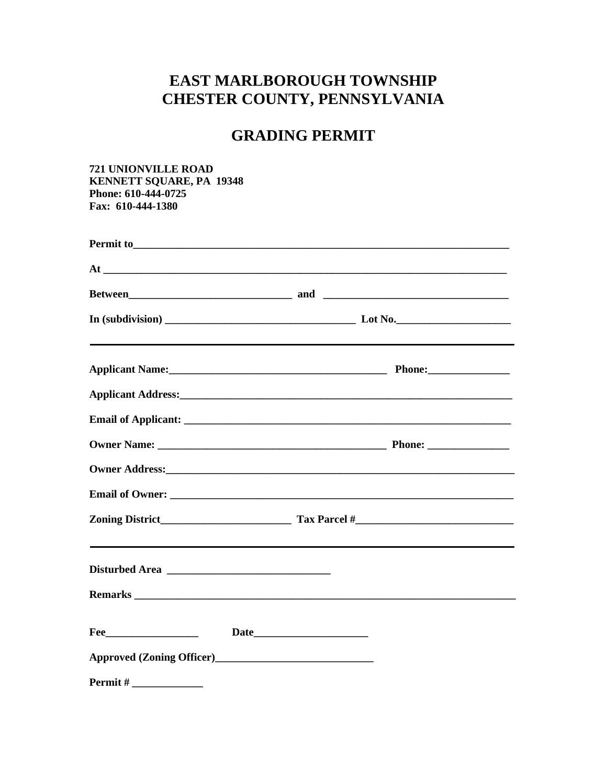# **EAST MARLBOROUGH TOWNSHIP** CHESTER COUNTY, PENNSYLVANIA

# **GRADING PERMIT**

**721 UNIONVILLE ROAD KENNETT SQUARE, PA 19348** Phone: 610-444-0725 Fax: 610-444-1380

|                | At $\overline{\phantom{a}}$                                                                                     |
|----------------|-----------------------------------------------------------------------------------------------------------------|
|                |                                                                                                                 |
|                |                                                                                                                 |
|                |                                                                                                                 |
|                |                                                                                                                 |
|                |                                                                                                                 |
|                |                                                                                                                 |
|                | Owner Address: No. 2016. The Commission of the Commission of the Commission of the Commission of the Commission |
|                |                                                                                                                 |
|                |                                                                                                                 |
|                |                                                                                                                 |
|                |                                                                                                                 |
| $\text{Fee}\_$ |                                                                                                                 |
|                |                                                                                                                 |
| Permit#        |                                                                                                                 |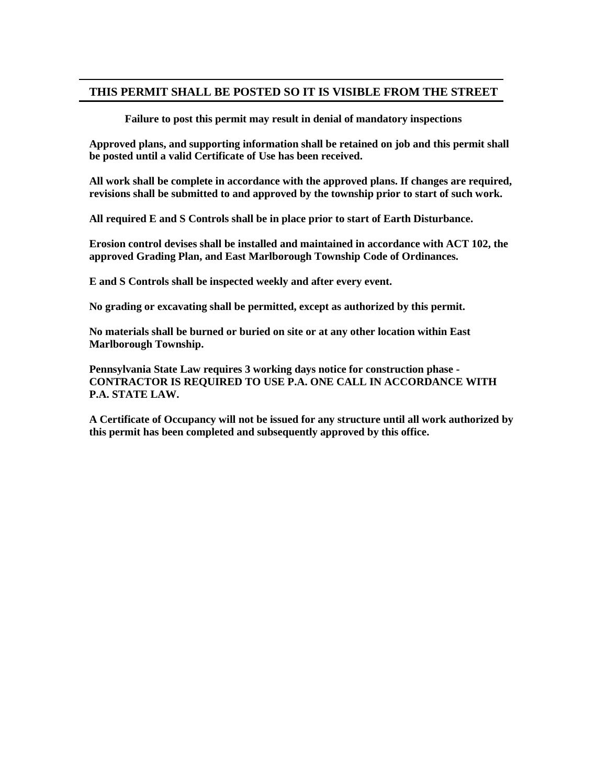#### **THIS PERMIT SHALL BE POSTED SO IT IS VISIBLE FROM THE STREET**

**Failure to post this permit may result in denial of mandatory inspections**

**Approved plans, and supporting information shall be retained on job and this permit shall be posted until a valid Certificate of Use has been received.**

**All work shall be complete in accordance with the approved plans. If changes are required, revisions shall be submitted to and approved by the township prior to start of such work.**

**All required E and S Controls shall be in place prior to start of Earth Disturbance.**

**Erosion control devises shall be installed and maintained in accordance with ACT 102, the approved Grading Plan, and East Marlborough Township Code of Ordinances.**

**E and S Controls shall be inspected weekly and after every event.** 

**No grading or excavating shall be permitted, except as authorized by this permit.**

**No materials shall be burned or buried on site or at any other location within East Marlborough Township.**

**Pennsylvania State Law requires 3 working days notice for construction phase - CONTRACTOR IS REQUIRED TO USE P.A. ONE CALL IN ACCORDANCE WITH P.A. STATE LAW.**

**A Certificate of Occupancy will not be issued for any structure until all work authorized by this permit has been completed and subsequently approved by this office.**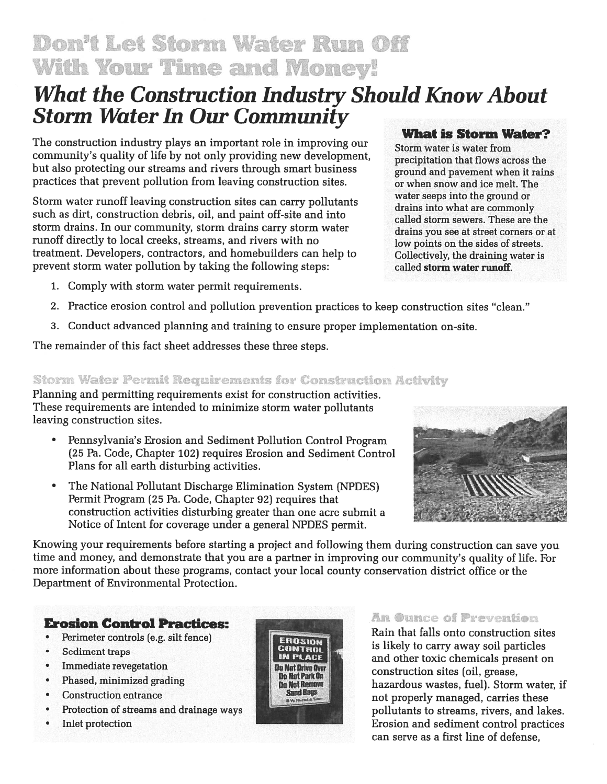Don't Let Storm Water Run Off **With Your Time and Money!** 

# **What the Construction Industry Should Know About Storm Water In Our Community What is Storm Water?**

The construction industry plays an important role in improving our community's quality of life by not only providing new development, but also protecting our streams and rivers through smart business practices that prevent pollution from leaving construction sites.

Storm water runoff leaving construction sites can carry pollutants such as dirt, construction debris, oil, and paint off-site and into storm drains. In our community, storm drains carry storm water runoff directly to local creeks, streams, and rivers with no treatment. Developers, contractors, and homebuilders can help to prevent storm water pollution by taking the following steps:

1. Comply with storm water permit requirements.

# 2. Practice erosion control and pollution prevention practices to keep construction sites "clean."

3. Conduct advanced planning and training to ensure proper implementation on-site.

The remainder of this fact sheet addresses these three steps.

## **Storm Water Permit Requirements for Construction Activity**

Planning and permitting requirements exist for construction activities. These requirements are intended to minimize storm water pollutants leaving construction sites.

- Pennsylvania's Erosion and Sediment Pollution Control Program (25 Pa. Code, Chapter 102) requires Erosion and Sediment Control Plans for all earth disturbing activities.
- $\bullet$ The National Pollutant Discharge Elimination System (NPDES) Permit Program (25 Pa. Code, Chapter 92) requires that construction activities disturbing greater than one acre submit a Notice of Intent for coverage under a general NPDES permit.

Knowing your requirements before starting a project and following them during construction can save you time and money, and demonstrate that you are a partner in improving our community's quality of life. For more information about these programs, contact your local county conservation district office or the Department of Environmental Protection.

## **Erosion Control Practices:**

- Perimeter controls (e.g. silt fence)  $\bullet$
- Sediment traps  $\bullet$
- **Immediate revegetation**  $\bullet$
- Phased, minimized grading  $\bullet$
- $\bullet$ **Construction entrance**
- Protection of streams and drainage ways  $\bullet$
- **Inlet protection**  $\epsilon$



#### water seeps into the ground or drains into what are commonly

precipitation that flows across the

or when snow and ice melt. The

ground and pavement when it rains

Storm water is water from

called storm sewers. These are the drains you see at street corners or at low points on the sides of streets. Collectively, the draining water is called storm water runoff.





### An Ounce of Prevention

Rain that falls onto construction sites is likely to carry away soil particles and other toxic chemicals present on construction sites (oil, grease, hazardous wastes, fuel). Storm water, if not properly managed, carries these pollutants to streams, rivers, and lakes. Erosion and sediment control practices can serve as a first line of defense.